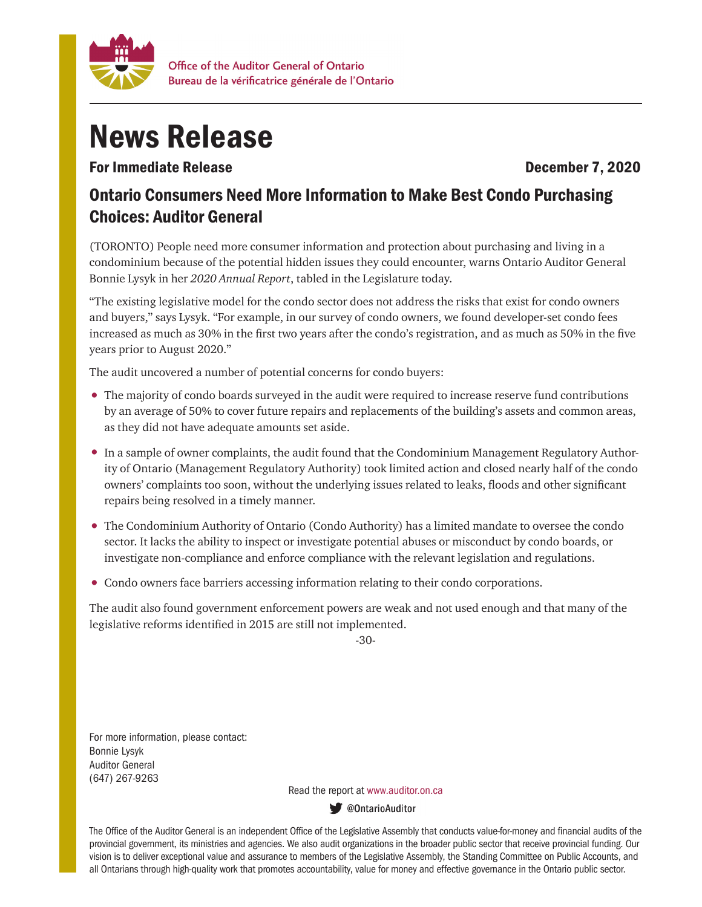

## News Release

For Immediate Release **December 7, 2020** 

## Ontario Consumers Need More Information to Make Best Condo Purchasing Choices: Auditor General

(TORONTO) People need more consumer information and protection about purchasing and living in a condominium because of the potential hidden issues they could encounter, warns Ontario Auditor General Bonnie Lysyk in her *2020 Annual Report*, tabled in the Legislature today.

"The existing legislative model for the condo sector does not address the risks that exist for condo owners and buyers," says Lysyk. "For example, in our survey of condo owners, we found developer-set condo fees increased as much as 30% in the first two years after the condo's registration, and as much as 50% in the five years prior to August 2020."

The audit uncovered a number of potential concerns for condo buyers:

- The majority of condo boards surveyed in the audit were required to increase reserve fund contributions by an average of 50% to cover future repairs and replacements of the building's assets and common areas, as they did not have adequate amounts set aside.
- In a sample of owner complaints, the audit found that the Condominium Management Regulatory Authority of Ontario (Management Regulatory Authority) took limited action and closed nearly half of the condo owners' complaints too soon, without the underlying issues related to leaks, floods and other significant repairs being resolved in a timely manner.
- The Condominium Authority of Ontario (Condo Authority) has a limited mandate to oversee the condo sector. It lacks the ability to inspect or investigate potential abuses or misconduct by condo boards, or investigate non-compliance and enforce compliance with the relevant legislation and regulations.
- Condo owners face barriers accessing information relating to their condo corporations.

The audit also found government enforcement powers are weak and not used enough and that many of the legislative reforms identified in 2015 are still not implemented.

-30-

For more information, please contact: Bonnie Lysyk Auditor General (647) 267-9263

Read the report at www.auditor.on.ca

**W** @OntarioAuditor

The Office of the Auditor General is an independent Office of the Legislative Assembly that conducts value-for-money and financial audits of the provincial government, its ministries and agencies. We also audit organizations in the broader public sector that receive provincial funding. Our vision is to deliver exceptional value and assurance to members of the Legislative Assembly, the Standing Committee on Public Accounts, and all Ontarians through high-quality work that promotes accountability, value for money and effective governance in the Ontario public sector.